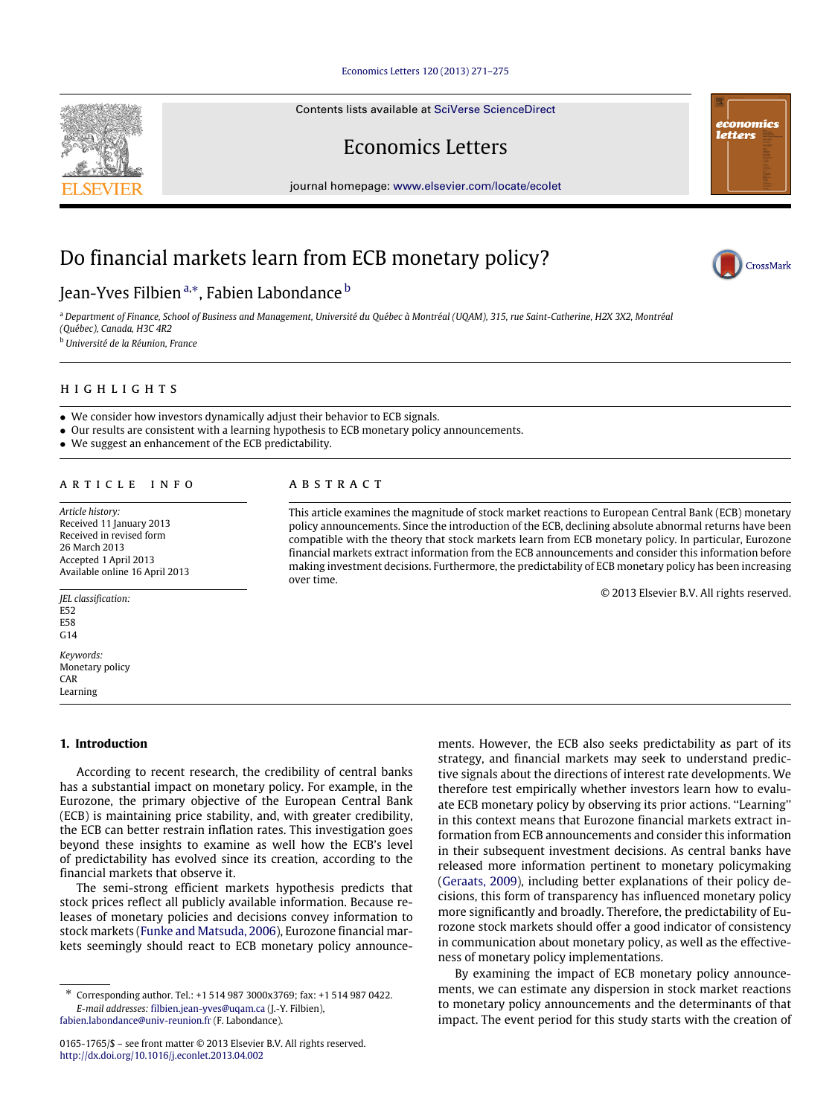### [Economics Letters 120 \(2013\) 271–275](http://dx.doi.org/10.1016/j.econlet.2013.04.002)

Contents lists available at [SciVerse ScienceDirect](http://www.elsevier.com/locate/ecolet)

Economics Letters

journal homepage: [www.elsevier.com/locate/ecolet](http://www.elsevier.com/locate/ecolet)

# Do financial markets learn from ECB monetary policy?

# Jean-Yves Filbien <sup>[a,](#page-0-0)</sup>\*, Fa[b](#page-0-2)ien Labondance <sup>b</sup>

<span id="page-0-0"></span><sup>a</sup> *Department of Finance, School of Business and Management, Université du Québec à Montréal (UQAM), 315, rue Saint-Catherine, H2X 3X2, Montréal (Québec), Canada, H3C 4R2*

<span id="page-0-2"></span><sup>b</sup> *Université de la Réunion, France*

# h i g h l i g h t s

- We consider how investors dynamically adjust their behavior to ECB signals.
- Our results are consistent with a learning hypothesis to ECB monetary policy announcements.
- We suggest an enhancement of the ECB predictability.

#### a r t i c l e i n f o

*Article history:* Received 11 January 2013 Received in revised form 26 March 2013 Accepted 1 April 2013 Available online 16 April 2013

*JEL classification:* E52 E58 G14

*Keywords:* Monetary policy CAR Learning

## **1. Introduction**

According to recent research, the credibility of central banks has a substantial impact on monetary policy. For example, in the Eurozone, the primary objective of the European Central Bank (ECB) is maintaining price stability, and, with greater credibility, the ECB can better restrain inflation rates. This investigation goes beyond these insights to examine as well how the ECB's level of predictability has evolved since its creation, according to the financial markets that observe it.

The semi-strong efficient markets hypothesis predicts that stock prices reflect all publicly available information. Because releases of monetary policies and decisions convey information to stock markets [\(Funke](#page--1-0) [and](#page--1-0) [Matsuda,](#page--1-0) [2006\)](#page--1-0), Eurozone financial markets seemingly should react to ECB monetary policy announce-

[fabien.labondance@univ-reunion.fr](mailto:fabien.labondance@univ-reunion.fr) (F. Labondance).

ments. However, the ECB also seeks predictability as part of its strategy, and financial markets may seek to understand predictive signals about the directions of interest rate developments. We therefore test empirically whether investors learn how to evaluate ECB monetary policy by observing its prior actions. ''Learning'' in this context means that Eurozone financial markets extract information from ECB announcements and consider this information in their subsequent investment decisions. As central banks have released more information pertinent to monetary policymaking [\(Geraats,](#page--1-1) [2009\)](#page--1-1), including better explanations of their policy decisions, this form of transparency has influenced monetary policy more significantly and broadly. Therefore, the predictability of Eurozone stock markets should offer a good indicator of consistency in communication about monetary policy, as well as the effectiveness of monetary policy implementations.

By examining the impact of ECB monetary policy announcements, we can estimate any dispersion in stock market reactions to monetary policy announcements and the determinants of that impact. The event period for this study starts with the creation of

# a b s t r a c t

This article examines the magnitude of stock market reactions to European Central Bank (ECB) monetary policy announcements. Since the introduction of the ECB, declining absolute abnormal returns have been compatible with the theory that stock markets learn from ECB monetary policy. In particular, Eurozone financial markets extract information from the ECB announcements and consider this information before making investment decisions. Furthermore, the predictability of ECB monetary policy has been increasing over time.

© 2013 Elsevier B.V. All rights reserved.





economics letters

<span id="page-0-1"></span><sup>∗</sup> Corresponding author. Tel.: +1 514 987 3000x3769; fax: +1 514 987 0422. *E-mail addresses:* [filbien.jean-yves@uqam.ca](mailto:filbien.jean-yves@uqam.ca) (J.-Y. Filbien),

<sup>0165-1765/\$ –</sup> see front matter © 2013 Elsevier B.V. All rights reserved. <http://dx.doi.org/10.1016/j.econlet.2013.04.002>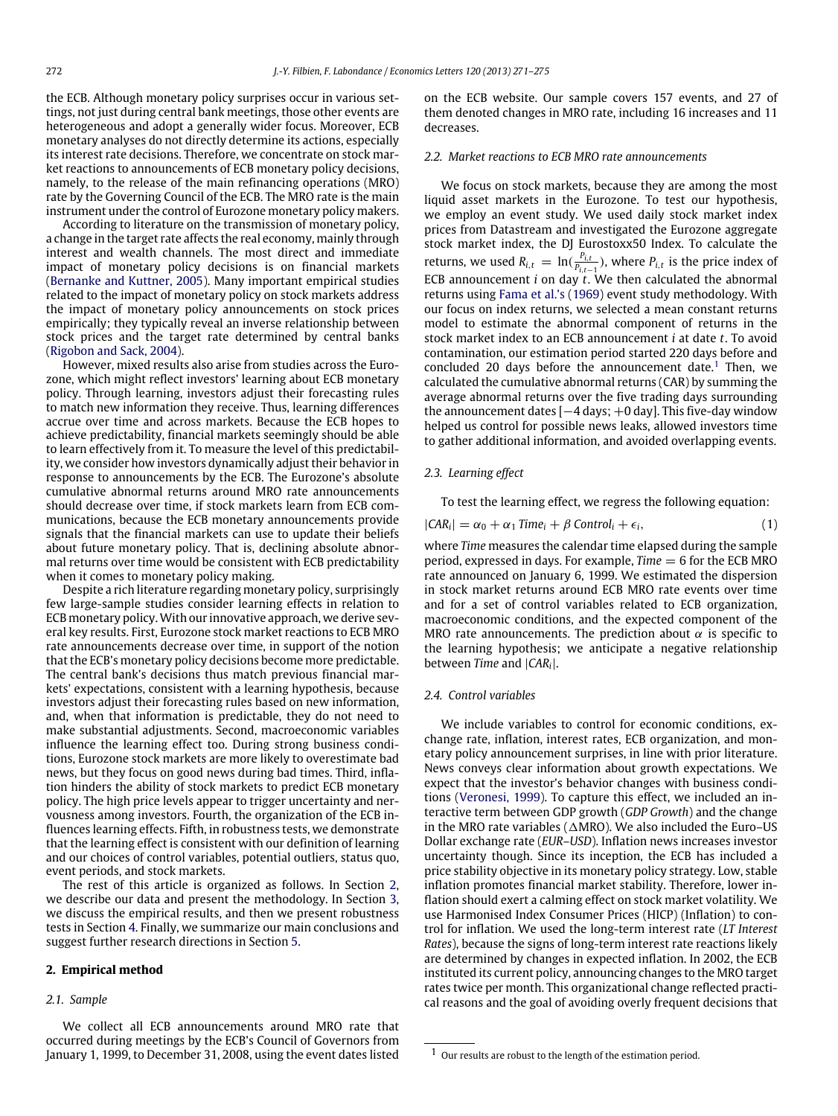the ECB. Although monetary policy surprises occur in various settings, not just during central bank meetings, those other events are heterogeneous and adopt a generally wider focus. Moreover, ECB monetary analyses do not directly determine its actions, especially its interest rate decisions. Therefore, we concentrate on stock market reactions to announcements of ECB monetary policy decisions, namely, to the release of the main refinancing operations (MRO) rate by the Governing Council of the ECB. The MRO rate is the main instrument under the control of Eurozone monetary policy makers.

According to literature on the transmission of monetary policy, a change in the target rate affects the real economy, mainly through interest and wealth channels. The most direct and immediate impact of monetary policy decisions is on financial markets [\(Bernanke](#page--1-2) [and](#page--1-2) [Kuttner,](#page--1-2) [2005\)](#page--1-2). Many important empirical studies related to the impact of monetary policy on stock markets address the impact of monetary policy announcements on stock prices empirically; they typically reveal an inverse relationship between stock prices and the target rate determined by central banks [\(Rigobon](#page--1-3) [and](#page--1-3) [Sack,](#page--1-3) [2004\)](#page--1-3).

However, mixed results also arise from studies across the Eurozone, which might reflect investors' learning about ECB monetary policy. Through learning, investors adjust their forecasting rules to match new information they receive. Thus, learning differences accrue over time and across markets. Because the ECB hopes to achieve predictability, financial markets seemingly should be able to learn effectively from it. To measure the level of this predictability, we consider how investors dynamically adjust their behavior in response to announcements by the ECB. The Eurozone's absolute cumulative abnormal returns around MRO rate announcements should decrease over time, if stock markets learn from ECB communications, because the ECB monetary announcements provide signals that the financial markets can use to update their beliefs about future monetary policy. That is, declining absolute abnormal returns over time would be consistent with ECB predictability when it comes to monetary policy making.

Despite a rich literature regarding monetary policy, surprisingly few large-sample studies consider learning effects in relation to ECB monetary policy.With our innovative approach, we derive several key results. First, Eurozone stock market reactions to ECB MRO rate announcements decrease over time, in support of the notion that the ECB's monetary policy decisions become more predictable. The central bank's decisions thus match previous financial markets' expectations, consistent with a learning hypothesis, because investors adjust their forecasting rules based on new information, and, when that information is predictable, they do not need to make substantial adjustments. Second, macroeconomic variables influence the learning effect too. During strong business conditions, Eurozone stock markets are more likely to overestimate bad news, but they focus on good news during bad times. Third, inflation hinders the ability of stock markets to predict ECB monetary policy. The high price levels appear to trigger uncertainty and nervousness among investors. Fourth, the organization of the ECB influences learning effects. Fifth, in robustness tests, we demonstrate that the learning effect is consistent with our definition of learning and our choices of control variables, potential outliers, status quo, event periods, and stock markets.

The rest of this article is organized as follows. In Section [2,](#page-1-0) we describe our data and present the methodology. In Section [3,](#page--1-4) we discuss the empirical results, and then we present robustness tests in Section [4.](#page--1-5) Finally, we summarize our main conclusions and suggest further research directions in Section [5.](#page--1-6)

#### <span id="page-1-0"></span>**2. Empirical method**

#### *2.1. Sample*

We collect all ECB announcements around MRO rate that occurred during meetings by the ECB's Council of Governors from January 1, 1999, to December 31, 2008, using the event dates listed on the ECB website. Our sample covers 157 events, and 27 of them denoted changes in MRO rate, including 16 increases and 11 decreases.

## *2.2. Market reactions to ECB MRO rate announcements*

We focus on stock markets, because they are among the most liquid asset markets in the Eurozone. To test our hypothesis, we employ an event study. We used daily stock market index prices from Datastream and investigated the Eurozone aggregate stock market index, the DJ Eurostoxx50 Index. To calculate the returns, we used  $R_{i,t} = \ln(\frac{P_{i,t}}{P_{i,t}})$  $\frac{P_{i,t}}{P_{i,t-1}}$ ), where  $P_{i,t}$  is the price index of ECB announcement *i* on day *t*. We then calculated the abnormal returns using [Fama](#page--1-7) [et al.'s](#page--1-7) [\(1969\)](#page--1-7) event study methodology. With our focus on index returns, we selected a mean constant returns model to estimate the abnormal component of returns in the stock market index to an ECB announcement *i* at date *t*. To avoid contamination, our estimation period started 220 days before and concluded 20 days before the announcement date.<sup>[1](#page-1-1)</sup> Then, we calculated the cumulative abnormal returns (CAR) by summing the average abnormal returns over the five trading days surrounding the announcement dates [−4 days; +0 day]. This five-day window helped us control for possible news leaks, allowed investors time to gather additional information, and avoided overlapping events.

#### *2.3. Learning effect*

To test the learning effect, we regress the following equation:

$$
|CAR_i| = \alpha_0 + \alpha_1 \text{ Time}_i + \beta \text{ Control}_i + \epsilon_i,
$$
\n(1)

where *Time* measures the calendar time elapsed during the sample period, expressed in days. For example, *Time* = 6 for the ECB MRO rate announced on January 6, 1999. We estimated the dispersion in stock market returns around ECB MRO rate events over time and for a set of control variables related to ECB organization, macroeconomic conditions, and the expected component of the MRO rate announcements. The prediction about  $\alpha$  is specific to the learning hypothesis; we anticipate a negative relationship between *Time* and |*CAR<sup>i</sup>* |.

## *2.4. Control variables*

We include variables to control for economic conditions, exchange rate, inflation, interest rates, ECB organization, and monetary policy announcement surprises, in line with prior literature. News conveys clear information about growth expectations. We expect that the investor's behavior changes with business conditions [\(Veronesi,](#page--1-8) [1999\)](#page--1-8). To capture this effect, we included an interactive term between GDP growth (*GDP Growth*) and the change in the MRO rate variables ( $\triangle$ MRO). We also included the Euro–US Dollar exchange rate (*EUR–USD*). Inflation news increases investor uncertainty though. Since its inception, the ECB has included a price stability objective in its monetary policy strategy. Low, stable inflation promotes financial market stability. Therefore, lower inflation should exert a calming effect on stock market volatility. We use Harmonised Index Consumer Prices (HICP) (Inflation) to control for inflation. We used the long-term interest rate (*LT Interest Rates*), because the signs of long-term interest rate reactions likely are determined by changes in expected inflation. In 2002, the ECB instituted its current policy, announcing changes to the MRO target rates twice per month. This organizational change reflected practical reasons and the goal of avoiding overly frequent decisions that

<span id="page-1-1"></span><sup>1</sup> Our results are robust to the length of the estimation period.